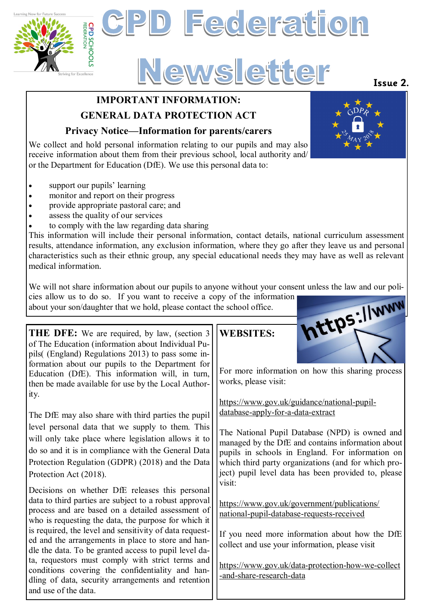



# **IMPORTANT INFORMATION:**

### **GENERAL DATA PROTECTION ACT**

#### **Privacy Notice—Information for parents/carers**

We collect and hold personal information relating to our pupils and may also receive information about them from their previous school, local authority and/ or the Department for Education (DfE). We use this personal data to:

- support our pupils' learning
- monitor and report on their progress
- provide appropriate pastoral care; and
- assess the quality of our services
- to comply with the law regarding data sharing

This information will include their personal information, contact details, national curriculum assessment results, attendance information, any exclusion information, where they go after they leave us and personal characteristics such as their ethnic group, any special educational needs they may have as well as relevant medical information.

We will not share information about our pupils to anyone without your consent unless the law and our policies allow us to do so. If you want to receive a copy of the information about your son/daughter that we hold, please cies allow us to do so. If you want to receive a copy of the information

about your son/daughter that we hold, please contact the school office.

**THE DFE:** We are required, by law, (section 3 of The Education (information about Individual Pupils( (England) Regulations 2013) to pass some information about our pupils to the Department for Education (DfE). This information will, in turn, then be made available for use by the Local Authority.

The DfE may also share with third parties the pupil level personal data that we supply to them. This will only take place where legislation allows it to do so and it is in compliance with the General Data Protection Regulation (GDPR) (2018) and the Data Protection Act (2018).

Decisions on whether DfE releases this personal data to third parties are subject to a robust approval process and are based on a detailed assessment of who is requesting the data, the purpose for which it is required, the level and sensitivity of data requested and the arrangements in place to store and handle the data. To be granted access to pupil level data, requestors must comply with strict terms and conditions covering the confidentiality and handling of data, security arrangements and retention and use of the data.

## **WEBSITES:**



For more information on how this sharing process works, please visit:

[https://www.gov.uk/guidance/national](https://www.gov.uk/guidance/national-pupil-database-apply-for-a-data-extract)-pupil[database](https://www.gov.uk/guidance/national-pupil-database-apply-for-a-data-extract)-apply-for-a-data-extract

The National Pupil Database (NPD) is owned and managed by the DfE and contains information about pupils in schools in England. For information on which third party organizations (and for which project) pupil level data has been provided to, please visit:

[https://www.gov.uk/government/publications/](https://www.gov.uk/government/publications/national-pupil-database-requests-received) national-pupil-[database](https://www.gov.uk/government/publications/national-pupil-database-requests-received)-requests-received

If you need more information about how the DfE collect and use your information, please visit

[https://www.gov.uk/data](https://www.gov.uk/data-protection-how-we-collect-and-share-research-data)-protection-how-we-collect -and-share-[research](https://www.gov.uk/data-protection-how-we-collect-and-share-research-data)-data

## **Issue 2.**